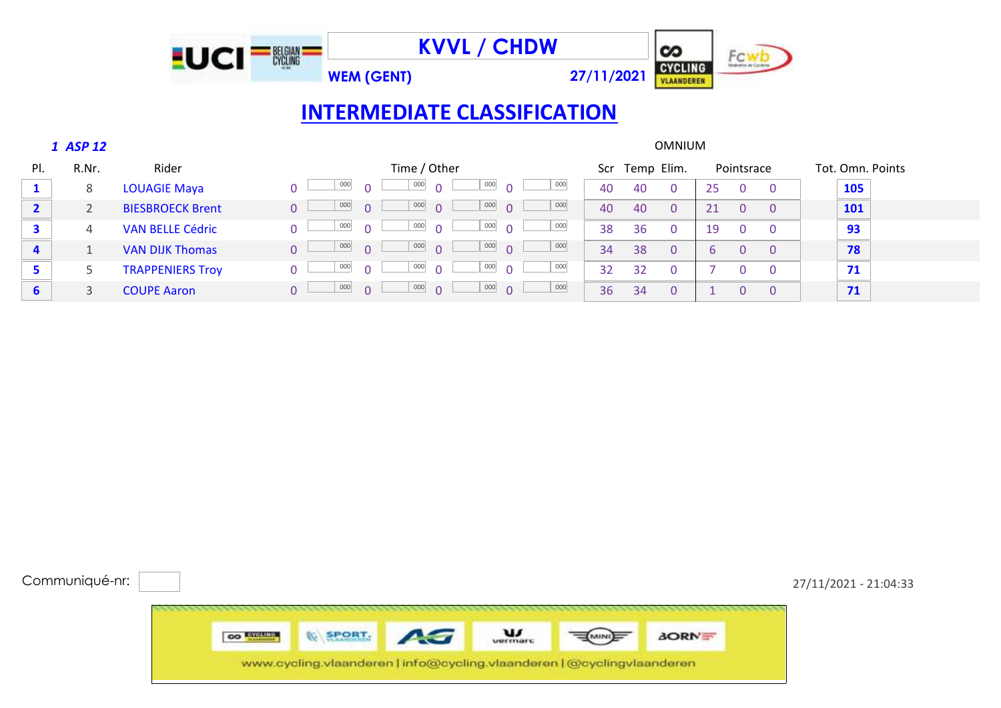

|                         | 1 ASP 12 |                         |          | <b>OMNIUM</b> |          |                          |                          |        |         |    |                   |          |    |                |                |                  |     |  |  |
|-------------------------|----------|-------------------------|----------|---------------|----------|--------------------------|--------------------------|--------|---------|----|-------------------|----------|----|----------------|----------------|------------------|-----|--|--|
| PI.                     | R.Nr.    | Rider                   |          | Time / Other  |          |                          |                          |        |         |    | Temp Elim.<br>Scr |          |    | Pointsrace     |                | Tot. Omn. Points |     |  |  |
|                         | 8        | <b>LOUAGIE Maya</b>     |          | 000           | $\cap$   | 000<br>$\overline{0}$    | $000$ 0                  |        | 000     | 40 | 40                | $\Omega$ | 25 | $\mathbf{0}$   |                |                  | 105 |  |  |
| $\mathbf{2}$            |          | <b>BIESBROECK Brent</b> | $\Omega$ | 000           | $\cap$   | $\frac{1}{1000}$ 0       | $\frac{000}{\sqrt{1}}$   |        | 000     | 40 | 40                | $\Omega$ | 21 | $\overline{0}$ |                |                  | 101 |  |  |
| 3                       | 4        | <b>VAN BELLE Cédric</b> |          | 000           | $\cap$   | 000<br>$\cap$            | $\frac{000}{\sqrt{2}}$ 0 |        | 000     | 38 | 36                | $\Omega$ | 19 | $\mathbf{0}$   |                |                  | 93  |  |  |
| $\overline{\mathbf{4}}$ |          | <b>VAN DIJK Thomas</b>  | $\cap$   | 000           | $\Omega$ | $\frac{000}{ }$ 0        | $\frac{000}{\sqrt{2}}$   |        | $000\,$ | 34 | 38                | $\Omega$ | b. | $\Omega$       | $\overline{0}$ |                  | 78  |  |  |
| 5                       |          | <b>TRAPPENIERS Troy</b> |          | 000           | $\cap$   | 000<br>$\cap$            | 000                      | $\cap$ | 000     | 32 | 32                | 0        |    | $\Omega$       |                |                  | 71  |  |  |
| 6                       |          | <b>COUPE Aaron</b>      | $\cap$   | 000           | $\Omega$ | $\frac{000}{\sqrt{1}}$ 0 | $\frac{000}{100}$ 0      |        | 000     | 36 | 34                | $\Omega$ |    | 0              |                |                  | 71  |  |  |

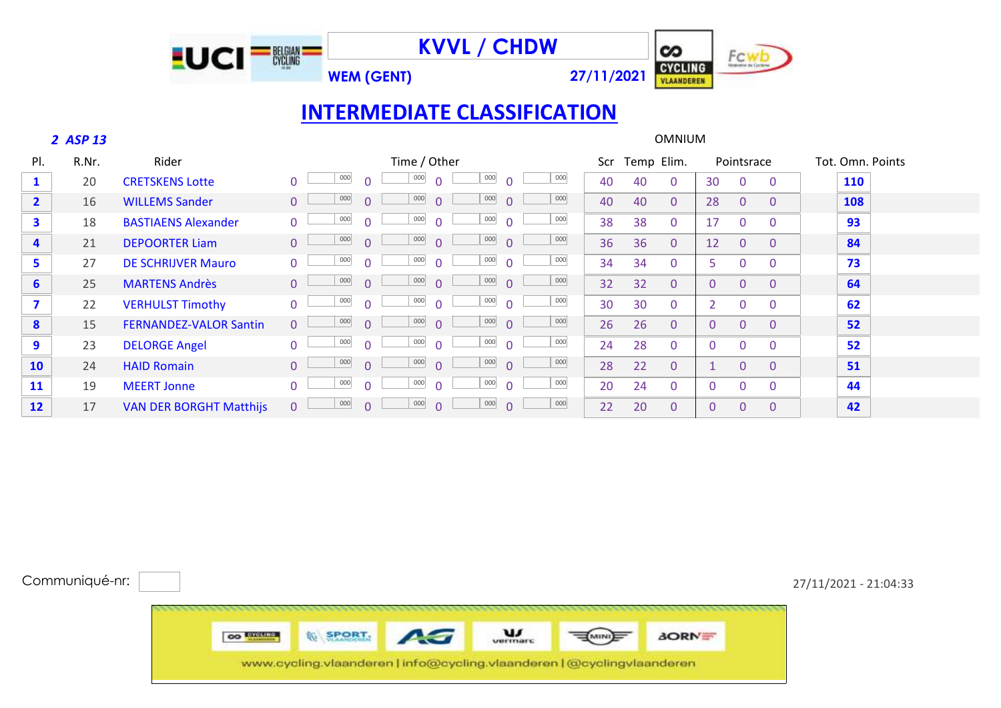



### *ASP 13* OMNIUM

| PI.                     | R.Nr. | Rider                          | Time / Other                                                             | Scr | Temp Elim.           |                      | Pointsrace                 | Tot. Omn. Points |
|-------------------------|-------|--------------------------------|--------------------------------------------------------------------------|-----|----------------------|----------------------|----------------------------|------------------|
| 1                       | 20    | <b>CRETSKENS Lotte</b>         | 000<br>000<br>000<br>000<br>$\Omega$                                     | 40  | 40<br>$\mathbf{0}$   | 30<br>$\Omega$       | $\overline{0}$             | 110              |
| $\overline{2}$          | 16    | <b>WILLEMS Sander</b>          | 000<br>000<br>000<br>000<br>$\Omega$<br>$\Omega$                         | 40  | 40<br>$\overline{0}$ | 28<br>$\Omega$       | $\overline{0}$             | 108              |
| $\overline{\mathbf{3}}$ | 18    | <b>BASTIAENS Alexander</b>     | 000<br>000<br>000<br>000<br>$\Omega$<br>$\Omega$                         | 38  | 38<br>$\overline{0}$ | 17                   | $\Omega$<br>$\mathbf{0}$   | 93               |
| 4                       | 21    | <b>DEPOORTER Liam</b>          | 000<br>000<br>000<br>000<br>$\Omega$<br>$\Omega$                         | 36  | 36<br>$\overline{0}$ | 12<br>$\overline{0}$ | $\Omega$                   | 84               |
| 5                       | 27    | <b>DE SCHRIJVER Mauro</b>      | 000<br>000<br>000<br>000<br>$\Omega$<br>$\Omega$<br>$\Omega$             | 34  | 34<br>$\overline{0}$ | 5                    | 0<br>$\Omega$              | 73               |
| $6\overline{6}$         | 25    | <b>MARTENS Andrès</b>          | 000<br>000<br>000<br>000<br>$\Omega$<br>$\Omega$                         | 32  | 32<br>$\overline{0}$ | $\mathbf{0}$         | 0<br>$\Omega$              | 64               |
| $\overline{\mathbf{z}}$ | 22    | <b>VERHULST Timothy</b>        | 000<br>000<br>000<br>000<br>$\Omega$<br>$\Omega$                         | 30  | 30<br>$\mathbf{0}$   |                      | 0<br>$\Omega$              | 62               |
| 8                       | 15    | <b>FERNANDEZ-VALOR Santin</b>  | 000<br>000<br>000<br>000<br>$\Omega$<br>$\Omega$<br>$\cap$               | 26  | 26<br>$\overline{0}$ | $\mathbf{0}$         | $\overline{0}$<br>$\Omega$ | 52               |
| 9                       | 23    | <b>DELORGE Angel</b>           | 000<br>000<br>000<br>000<br>$\Omega$<br>$\Omega$<br>$\Omega$<br>$\cap$   | 24  | 28<br>$\overline{0}$ | $\Omega$             | $\Omega$                   | 52               |
| 10                      | 24    | <b>HAID Romain</b>             | 000<br>000<br>000<br>000<br>$\Omega$<br>$\Omega$<br>$\Omega$<br>$\Omega$ | 28  | 22<br>$\overline{0}$ |                      | $\overline{0}$<br>$\Omega$ | 51               |
| 11                      | 19    | <b>MEERT Jonne</b>             | 000<br>000<br>000<br>000<br>$\Omega$<br>$\Omega$<br>$\Omega$<br>$\cap$   | 20  | 24<br>$\mathbf{0}$   | $\mathbf{0}$         | $\Omega$                   | 44               |
| 12                      | 17    | <b>VAN DER BORGHT Matthijs</b> | 000<br>000<br>000<br>000<br>$\Omega$<br>$\Omega$<br>$\cap$<br>$\Omega$   | 22  | 20<br>$\mathbf{0}$   | $\Omega$             | $\Omega$                   | 42               |

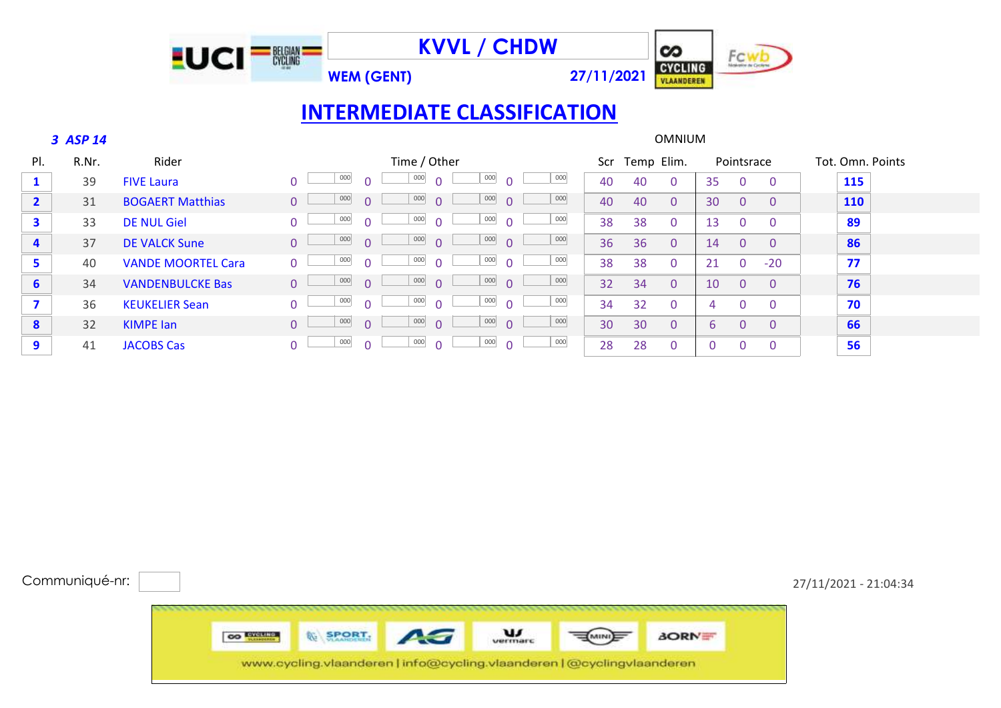

#### *ASP 14* OMNIUM

| PI.                     | R.Nr. | Rider                     |          |     |        | Time / Other    |                     |     | Scr | Temp Elim. |              |    | Pointsrace |                | Tot. Omn. Points |
|-------------------------|-------|---------------------------|----------|-----|--------|-----------------|---------------------|-----|-----|------------|--------------|----|------------|----------------|------------------|
|                         | 39    | <b>FIVE Laura</b>         |          | 000 |        | 000<br>$\cap$   | 000<br>$\Omega$     | 000 | 40  | 40         | 0            | 35 | $\Omega$   | $\Omega$       | 115              |
| $\overline{2}$          | 31    | <b>BOGAERT Matthias</b>   | $\Omega$ | 000 |        | 000<br>$\Omega$ | 000<br>$\Omega$     | 000 | 40  | 40         | $\Omega$     | 30 | $\Omega$   | - 0            | <b>110</b>       |
| $\overline{\mathbf{3}}$ | 33    | <b>DE NUL Giel</b>        | $\Omega$ | 000 |        | 000<br>$\cap$   | $000\,$<br>$\Omega$ | 000 | 38  | 38         | $\Omega$     | 13 | $\Omega$   | - 0            | 89               |
| 4                       | 37    | <b>DE VALCK Sune</b>      | $\Omega$ | 000 |        | 000<br>$\Omega$ | 000<br>$\Omega$     | 000 | 36  | 36         | $\Omega$     | 14 | $\Omega$   | - 0            | 86               |
| 5                       | 40    | <b>VANDE MOORTEL Cara</b> | $\Omega$ | 000 | $\cap$ | 000<br>$\cap$   | 000<br>$\Omega$     | 000 | 38  | 38         | $\Omega$     | 21 | $\Omega$   | $-20$          | 77               |
| $6\phantom{1}6$         | 34    | <b>VANDENBULCKE Bas</b>   | $\Omega$ | 000 | n.     | 000<br>$\Omega$ | 000<br>$\Omega$     | 000 | 32  | 34         | $\Omega$     | 10 | $\Omega$   | $\Omega$       | 76               |
|                         | 36    | <b>KEUKELIER Sean</b>     | $\Omega$ | 000 |        | 000<br>$\cap$   | 000<br>$\Omega$     | 000 | 34  | 32         | $\mathbf{0}$ | 4  | $\Omega$   | $\Omega$       | 70               |
| 8                       | 32    | <b>KIMPE</b> lan          | $\Omega$ | 000 | $\cap$ | 000<br>$\cap$   | 000<br>$\Omega$     | 000 | 30  | 30         | $\Omega$     | 6. | $\Omega$   | $\overline{0}$ | 66               |
| 9                       | 41    | <b>JACOBS Cas</b>         | $\Omega$ | 000 |        | 000<br>$\cap$   | 000<br>$\Omega$     | 000 | 28  | 28         | $\Omega$     |    |            | $\Omega$       | 56               |

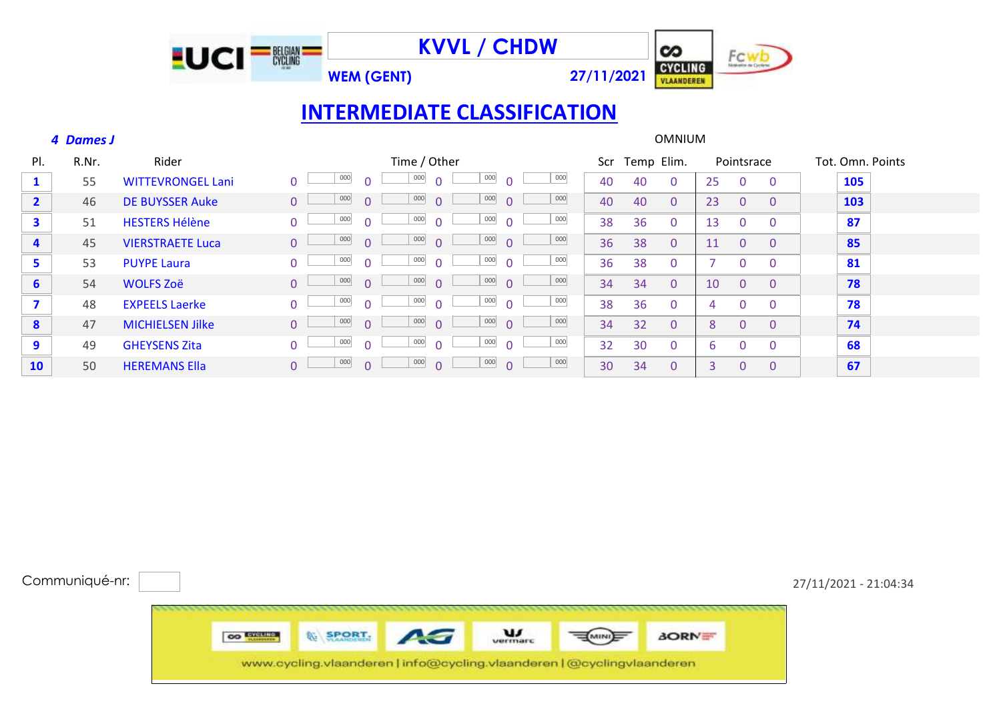

### *Dames J* OMNIUM

| PI.                     | R.Nr. | Rider                    | Time / Other                                                                   | Scr. | Temp Elim.           | Pointsrace                           | Tot. Omn. Points |
|-------------------------|-------|--------------------------|--------------------------------------------------------------------------------|------|----------------------|--------------------------------------|------------------|
| $\mathbf{1}$            | 55    | <b>WITTEVRONGEL Lani</b> | $000\,$<br>000<br>000<br>000<br>$\Omega$<br>$\Omega$                           | 40   | 40<br>$\mathbf{0}$   | 25<br>$\mathbf{0}$<br>$\overline{0}$ | 105              |
| $\overline{2}$          | 46    | <b>DE BUYSSER Auke</b>   | 000<br>000<br>000<br>000<br>$\Omega$<br>$\Omega$<br>$\Omega$<br>$\Omega$       | 40   | 40<br>$\mathbf{0}$   | 23<br>$\mathbf{0}$<br>$\mathbf{0}$   | 103              |
| $\overline{\mathbf{3}}$ | 51    | <b>HESTERS Hélène</b>    | 000<br>000<br>000<br>000<br>$\Omega$<br>$\Omega$<br>$\Omega$<br><sup>n</sup>   | 38   | 36<br>$\mathbf{0}$   | 13<br>$\mathbf{0}$<br>$\mathbf{0}$   | 87               |
| 4                       | 45    | <b>VIERSTRAETE Luca</b>  | 000<br>000<br>000<br>000<br>$\Omega$<br>$\cap$<br>$\Omega$<br>$\Omega$         | 36   | 38<br>$\mathbf{0}$   | 11<br>$\mathbf{0}$<br>$\mathbf{0}$   | 85               |
| 5                       | 53    | <b>PUYPE Laura</b>       | 000<br>000<br>000<br>000<br>$\Omega$<br>$\Omega$<br>$\Omega$<br>$\Omega$       | 36   | 38<br>$\overline{0}$ | $\Omega$<br>$\mathbf{0}$             | 81               |
| $6 \overline{6}$        | 54    | <b>WOLFS Zoë</b>         | 000<br>000<br>000<br>000<br>$\Omega$<br>$\overline{0}$<br>$\Omega$<br>$\Omega$ | 34   | 34<br>$\overline{0}$ | 10<br>$\mathbf{0}$<br>$\mathbf{0}$   | 78               |
| $\overline{\mathbf{z}}$ | 48    | <b>EXPEELS Laerke</b>    | 000<br>000<br>000<br>000<br>$\Omega$<br>$\Omega$<br>$\Omega$<br><sup>n</sup>   | 38   | 36<br>$\overline{0}$ | $\Omega$<br>$\Omega$<br>4            | 78               |
| $\boldsymbol{8}$        | 47    | <b>MICHIELSEN Jilke</b>  | 000<br>000<br>000<br>000<br>$\Omega$<br>$\Omega$<br>$\Omega$<br>$\Omega$       | 34   | 32<br>$\overline{0}$ | $\Omega$<br>$\mathbf{0}$<br>8        | 74               |
| 9                       | 49    | <b>GHEYSENS Zita</b>     | 000<br>000<br>000<br>000<br>$\Omega$<br>$\Omega$<br>$\cap$                     | 32   | 30<br>$\overline{0}$ | 6<br>0<br>$\mathbf{0}$               | 68               |
| 10                      | 50    | <b>HEREMANS Ella</b>     | 000<br>000<br>000<br>000<br>$\Omega$<br>$\Omega$<br>$\Omega$<br>$\Omega$       | 30   | 34<br>$\overline{0}$ | 3<br>0<br>$\mathbf{0}$               | 67               |

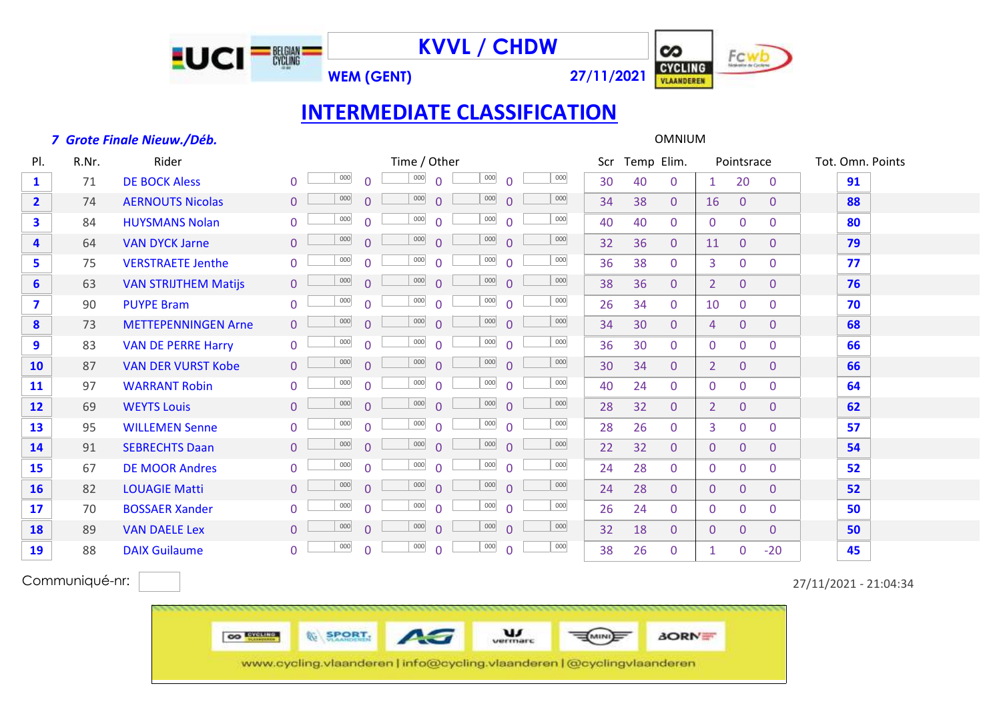

**WEM (GENT) 27/11/2021**



### **INTERMEDIATE CLASSIFICATION**

#### *Grote Finale Nieuw./Déb.* OMNIUM

Pl. R.Nr. Rider Time / Other Scr Temp Elim. Pointsrace Tot. Omn. Points 71 DE BOCK Aless 0 0 0 0 0 0 0 0 0 0 0 0 0 0 0 0 30 40 0 1 20 0 91 74 AERNOUTS Nicolas 0 0 0 0 0 0 0 0 0 0 0 0 34 38 0 16 0 0 **88**  84 HUYSMANS Nolan 0 <sup>000</sup> 0 <sup>000</sup> 0 <sup>000</sup> 0 40 40 0 0 0 <mark>80</mark> 64 VAN DYCK Jarne 0 0 0 0 32 36 0 11 0 0 **79** <sup>000</sup> <sup>000</sup> <sup>000</sup> <sup>000</sup> 75 VERSTRAETE Jenthe 0 0 0 0 0 0 0 0 0 0 0 0 0 0 3 0 0 <mark>77</mark> 63 VAN STRIJTHEM Matijs 0 0 000 0 000 0 000 0 38 36 0 2 0 0 **76**  90 PUYPE Bram 0 0 0 0 26 34 0 10 0 0 **70** <sup>000</sup> <sup>000</sup> <sup>000</sup> <sup>000</sup> 73 METTEPENNINGEN Arne 0 0 0 0 0 0 0 0 0 0 0 0 0 34 30 0 4 0 0 **68**  83 VAN DE PERRE Harry 0 0 0 0 36 30 0 0 0 0 **66** <sup>000</sup> <sup>000</sup> <sup>000</sup> <sup>000</sup> 87 VAN DER VURST Kobe 0 0 0 0 0 0 0 0 0 0 0 0 30 34 0 2 0 0 **66**  97 WARRANT Robin 0 0 0 0 0 0 0 0 0 0 0 0 0 0 0 0 0 64 69 WEYTS Louis 0 <u>↓ 1000</u> 0 <u>1 1000</u> 0 <u>1 1000</u> 0 28 32 0 2 0 0 1 62 95 WILLEMEN Senne 0 0 0 0 28 26 0 3 0 0 **57** <sup>000</sup> <sup>000</sup> <sup>000</sup> <sup>000</sup> 91 SEBRECHTS Daan 0 0 0 0 0 0 0 0 0 0 0 0 0 0 0 0 0 54 67 DE MOOR Andres 0 0 0 0 0 0 0 0 0 0 0 0 0 0 0 0 0 52 82 LOUAGIE Matti 0 0 0 0 0 0 0 0 0 0 0 0 0 0 0 0 52 70 BOSSAER Xander 0 0 0 0 26 24 0 0 0 0 **50** <sup>000</sup> <sup>000</sup> <sup>000</sup> <sup>000</sup> 89 VAN DAELE Lex 0 <u>0 000</u> 0 <u>0 000</u> 0 <u>0 000</u> 0 32 18 0 0 0 0 50 88 DAIX Guilaume 0 0 0 0 38 26 0 1 0 -20 **45** <sup>000</sup> <sup>000</sup> <sup>000</sup> <sup>000</sup>